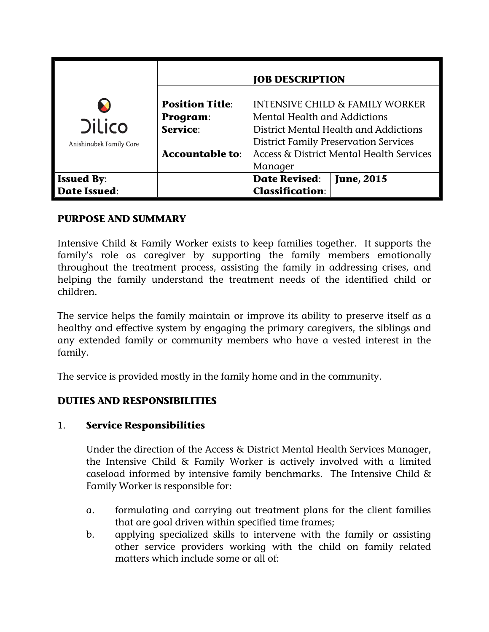|                                          | <b>JOB DESCRIPTION</b>                         |                                                     |                                                                                                                                                                     |  |
|------------------------------------------|------------------------------------------------|-----------------------------------------------------|---------------------------------------------------------------------------------------------------------------------------------------------------------------------|--|
| <b>Dilico</b><br>Anishinabek Family Care | <b>Position Title:</b><br>Program:<br>Service: |                                                     | <b>INTENSIVE CHILD &amp; FAMILY WORKER</b><br>Mental Health and Addictions<br>District Mental Health and Addictions<br><b>District Family Preservation Services</b> |  |
|                                          | <b>Accountable to:</b>                         | Access & District Mental Health Services<br>Manager |                                                                                                                                                                     |  |
| <b>Issued By:</b>                        |                                                | <b>Date Revised:</b>                                | <b>June, 2015</b>                                                                                                                                                   |  |
| <b>Date Issued:</b>                      |                                                | <b>Classification:</b>                              |                                                                                                                                                                     |  |

## **PURPOSE AND SUMMARY**

Intensive Child & Family Worker exists to keep families together. It supports the family's role as caregiver by supporting the family members emotionally throughout the treatment process, assisting the family in addressing crises, and helping the family understand the treatment needs of the identified child or children.

The service helps the family maintain or improve its ability to preserve itself as a healthy and effective system by engaging the primary caregivers, the siblings and any extended family or community members who have a vested interest in the family.

The service is provided mostly in the family home and in the community.

# **DUTIES AND RESPONSIBILITIES**

## 1. **Service Responsibilities**

Under the direction of the Access & District Mental Health Services Manager, the Intensive Child & Family Worker is actively involved with a limited caseload informed by intensive family benchmarks. The Intensive Child & Family Worker is responsible for:

- a. formulating and carrying out treatment plans for the client families that are goal driven within specified time frames;
- b. applying specialized skills to intervene with the family or assisting other service providers working with the child on family related matters which include some or all of: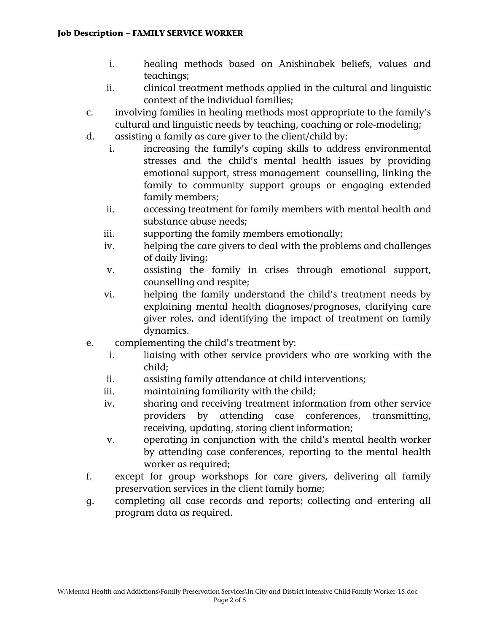#### **Job Description – FAMILY SERVICE WORKER**

- i. healing methods based on Anishinabek beliefs, values and teachings;
- ii. clinical treatment methods applied in the cultural and linguistic context of the individual families;
- c. involving families in healing methods most appropriate to the family's cultural and linguistic needs by teaching, coaching or role-modeling;
- d. assisting a family as care giver to the client/child by:
	- i. increasing the family's coping skills to address environmental stresses and the child's mental health issues by providing emotional support, stress management counselling, linking the family to community support groups or engaging extended family members;
	- ii. accessing treatment for family members with mental health and substance abuse needs;
	- iii. supporting the family members emotionally;
	- iv. helping the care givers to deal with the problems and challenges of daily living;
	- v. assisting the family in crises through emotional support, counselling and respite;
	- vi. helping the family understand the child's treatment needs by explaining mental health diagnoses/prognoses, clarifying care giver roles, and identifying the impact of treatment on family dynamics.
- e. complementing the child's treatment by:
	- i. liaising with other service providers who are working with the child;
	- ii. assisting family attendance at child interventions;
	- iii. maintaining familiarity with the child;
	- iv. sharing and receiving treatment information from other service providers by attending case conferences, transmitting, receiving, updating, storing client information;
	- v. operating in conjunction with the child's mental health worker by attending case conferences, reporting to the mental health worker as required;
- f. except for group workshops for care givers, delivering all family preservation services in the client family home;
- g. completing all case records and reports; collecting and entering all program data as required.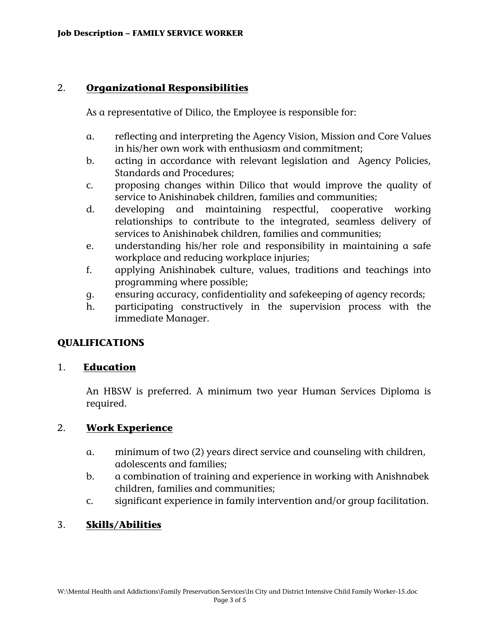## 2. **Organizational Responsibilities**

As a representative of Dilico, the Employee is responsible for:

- a. reflecting and interpreting the Agency Vision, Mission and Core Values in his/her own work with enthusiasm and commitment;
- b. acting in accordance with relevant legislation and Agency Policies, Standards and Procedures;
- c. proposing changes within Dilico that would improve the quality of service to Anishinabek children, families and communities;
- d. developing and maintaining respectful, cooperative working relationships to contribute to the integrated, seamless delivery of services to Anishinabek children, families and communities;
- e. understanding his/her role and responsibility in maintaining a safe workplace and reducing workplace injuries;
- f. applying Anishinabek culture, values, traditions and teachings into programming where possible;
- g. ensuring accuracy, confidentiality and safekeeping of agency records;
- h. participating constructively in the supervision process with the immediate Manager.

# **QUALIFICATIONS**

## 1. **Education**

An HBSW is preferred. A minimum two year Human Services Diploma is required.

# 2. **Work Experience**

- a. minimum of two (2) years direct service and counseling with children, adolescents and families;
- b. a combination of training and experience in working with Anishnabek children, families and communities;
- c. significant experience in family intervention and/or group facilitation.

# 3. **Skills/Abilities**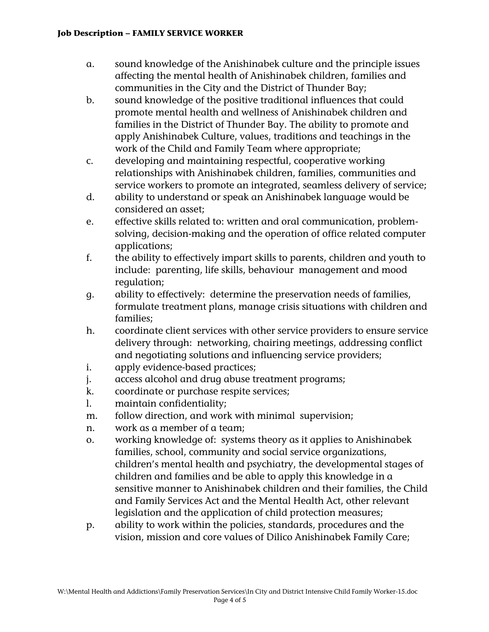#### **Job Description – FAMILY SERVICE WORKER**

- a. sound knowledge of the Anishinabek culture and the principle issues affecting the mental health of Anishinabek children, families and communities in the City and the District of Thunder Bay;
- b. sound knowledge of the positive traditional influences that could promote mental health and wellness of Anishinabek children and families in the District of Thunder Bay. The ability to promote and apply Anishinabek Culture, values, traditions and teachings in the work of the Child and Family Team where appropriate;
- c. developing and maintaining respectful, cooperative working relationships with Anishinabek children, families, communities and service workers to promote an integrated, seamless delivery of service;
- d. ability to understand or speak an Anishinabek language would be considered an asset;
- e. effective skills related to: written and oral communication, problemsolving, decision-making and the operation of office related computer applications;
- f. the ability to effectively impart skills to parents, children and youth to include: parenting, life skills, behaviour management and mood regulation;
- g. ability to effectively: determine the preservation needs of families, formulate treatment plans, manage crisis situations with children and families;
- h. coordinate client services with other service providers to ensure service delivery through: networking, chairing meetings, addressing conflict and negotiating solutions and influencing service providers;
- i. apply evidence-based practices;
- j. access alcohol and drug abuse treatment programs;
- k. coordinate or purchase respite services;
- l. maintain confidentiality;
- m. follow direction, and work with minimal supervision;
- n. work as a member of a team;
- o. working knowledge of: systems theory as it applies to Anishinabek families, school, community and social service organizations, children's mental health and psychiatry, the developmental stages of children and families and be able to apply this knowledge in a sensitive manner to Anishinabek children and their families, the Child and Family Services Act and the Mental Health Act, other relevant legislation and the application of child protection measures;
- p. ability to work within the policies, standards, procedures and the vision, mission and core values of Dilico Anishinabek Family Care;